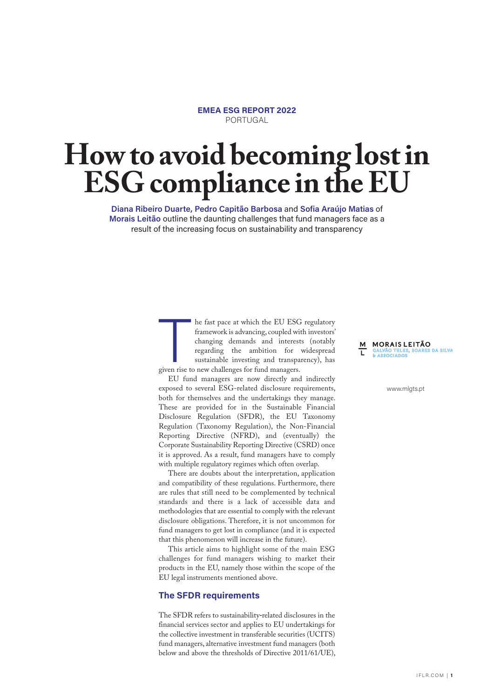**EMEA ESG REPORT 2022** PORTUGAL

# **How to avoid becoming lost in ESG compliance in the EU**

**Diana Ribeiro Duarte, Pedro Capitão Barbosa** and **Sofia Araújo Matias** of **Morais Leitão** outline the daunting challenges that fund managers face as a result of the increasing focus on sustainability and transparency

> he fast pace at which the EU ESG regulatory framework is advancing, coupled with investors' changing demands and interests (notably regarding the ambition for widespread sustainable investing and transparency), has

> given rise to new challenges for fund managers.<br>
> EU fund managers are now directly and<br>
> exposed to several ESG-related disclosure re<br>
> both for themselves and the undertakings the<br>
> These are provided for in the Sustainable<br> EU fund managers are now directly and indirectly exposed to several ESG-related disclosure requirements, both for themselves and the undertakings they manage. These are provided for in the Sustainable Financial Disclosure Regulation (SFDR), the EU Taxonomy Regulation (Taxonomy Regulation), the Non-Financial Reporting Directive (NFRD), and (eventually) the Corporate Sustainability Reporting Directive (CSRD) once it is approved. As a result, fund managers have to comply with multiple regulatory regimes which often overlap.

> There are doubts about the interpretation, application and compatibility of these regulations. Furthermore, there are rules that still need to be complemented by technical standards and there is a lack of accessible data and methodologies that are essential to comply with the relevant disclosure obligations. Therefore, it is not uncommon for fund managers to get lost in compliance (and it is expected that this phenomenon will increase in the future).

> This article aims to highlight some of the main ESG challenges for fund managers wishing to market their products in the EU, namely those within the scope of the EU legal instruments mentioned above.

# **The SFDR requirements**

The SFDR refers to sustainability-related disclosures in the financial services sector and applies to EU undertakings for the collective investment in transferable securities (UCITS) fund managers, alternative investment fund managers (both below and above the thresholds of Directive 2011/61/UE),

**M** MORAIS LEITÃO<br>T GALVÃO TELES, SOARES DA SILVA **GALVÃO TELES<br>& ASSOCIADOS** 

www.mlgts.pt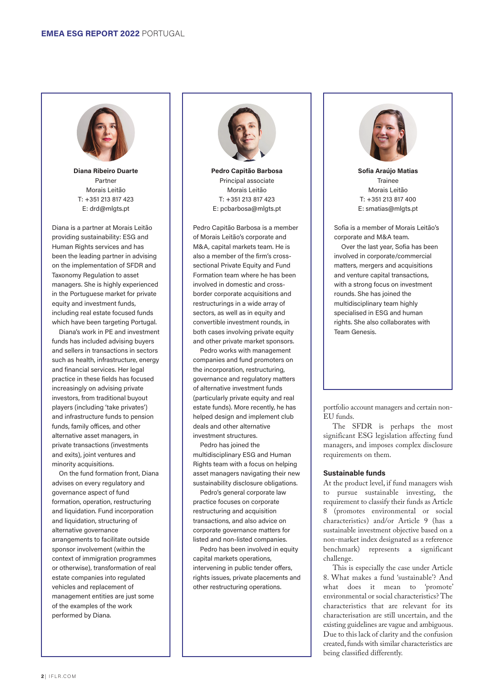

**Diana Ribeiro Duarte** Partner Morais Leitão T: +351 213 817 423 E: drd@mlgts.pt

Diana is a partner at Morais Leitão providing sustainability: ESG and Human Rights services and has been the leading partner in advising on the implementation of SFDR and Taxonomy Regulation to asset managers. She is highly experienced in the Portuguese market for private equity and investment funds, including real estate focused funds which have been targeting Portugal.

Diana's work in PE and investment funds has included advising buyers and sellers in transactions in sectors such as health, infrastructure, energy and financial services. Her legal practice in these fields has focused increasingly on advising private investors, from traditional buyout players (including 'take privates') and infrastructure funds to pension funds, family offices, and other alternative asset managers, in private transactions (investments and exits), joint ventures and minority acquisitions.

On the fund formation front, Diana advises on every regulatory and governance aspect of fund formation, operation, restructuring and liquidation. Fund incorporation and liquidation, structuring of alternative governance arrangements to facilitate outside sponsor involvement (within the context of immigration programmes or otherwise), transformation of real estate companies into regulated vehicles and replacement of management entities are just some of the examples of the work performed by Diana.



**Pedro Capitão Barbosa** Principal associate Morais Leitão T: +351 213 817 423 E: pcbarbosa@mlgts.pt

Pedro Capitão Barbosa is a member of Morais Leitão's corporate and M&A, capital markets team. He is also a member of the firm's crosssectional Private Equity and Fund Formation team where he has been involved in domestic and crossborder corporate acquisitions and restructurings in a wide array of sectors, as well as in equity and convertible investment rounds, in both cases involving private equity and other private market sponsors.

Pedro works with management companies and fund promoters on the incorporation, restructuring, governance and regulatory matters of alternative investment funds (particularly private equity and real estate funds). More recently, he has helped design and implement club deals and other alternative investment structures.

Pedro has joined the multidisciplinary ESG and Human Rights team with a focus on helping asset managers navigating their new sustainability disclosure obligations.

Pedro's general corporate law practice focuses on corporate restructuring and acquisition transactions, and also advice on corporate governance matters for listed and non-listed companies.

Pedro has been involved in equity capital markets operations, intervening in public tender offers, rights issues, private placements and other restructuring operations.



**Sofia Araújo Matias** Trainee Morais Leitão T: +351 213 817 400 E: smatias@mlgts.pt

Sofia is a member of Morais Leitão's corporate and M&A team.

Over the last year, Sofia has been involved in corporate/commercial matters, mergers and acquisitions and venture capital transactions, with a strong focus on investment rounds. She has joined the multidisciplinary team highly specialised in ESG and human rights. She also collaborates with Team Genesis.

portfolio account managers and certain non-EU funds.

The SFDR is perhaps the most significant ESG legislation affecting fund managers, and imposes complex disclosure requirements on them.

# **Sustainable funds**

At the product level, if fund managers wish to pursue sustainable investing, the requirement to classify their funds as Article 8 (promotes environmental or social characteristics) and/or Article 9 (has a sustainable investment objective based on a non-market index designated as a reference benchmark) represents a significant challenge.

This is especially the case under Article 8. What makes a fund 'sustainable'? And what does it mean to 'promote' environmental or social characteristics? The characteristics that are relevant for its characterisation are still uncertain, and the existing guidelines are vague and ambiguous. Due to this lack of clarity and the confusion created, funds with similar characteristics are being classified differently.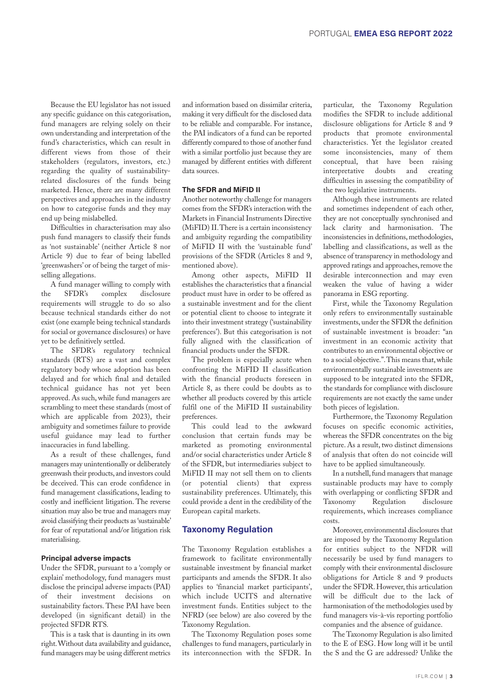Because the EU legislator has not issued any specific guidance on this categorisation, fund managers are relying solely on their own understanding and interpretation of the fund's characteristics, which can result in different views from those of their stakeholders (regulators, investors, etc.) regarding the quality of sustainabilityrelated disclosures of the funds being marketed. Hence, there are many different perspectives and approaches in the industry on how to categorise funds and they may end up being mislabelled.

Difficulties in characterisation may also push fund managers to classify their funds as 'not sustainable' (neither Article 8 nor Article 9) due to fear of being labelled 'greenwashers' or of being the target of misselling allegations.

A fund manager willing to comply with the SFDR's complex disclosure requirements will struggle to do so also because technical standards either do not exist (one example being technical standards for social or governance disclosures) or have yet to be definitively settled.

The SFDR's regulatory technical standards (RTS) are a vast and complex regulatory body whose adoption has been delayed and for which final and detailed technical guidance has not yet been approved. As such, while fund managers are scrambling to meet these standards (most of which are applicable from 2023), their ambiguity and sometimes failure to provide useful guidance may lead to further inaccuracies in fund labelling.

As a result of these challenges, fund managers may unintentionally or deliberately greenwash their products, and investors could be deceived. This can erode confidence in fund management classifications, leading to costly and inefficient litigation. The reverse situation may also be true and managers may avoid classifying their products as 'sustainable' for fear of reputational and/or litigation risk materialising.

### **Principal adverse impacts**

Under the SFDR, pursuant to a 'comply or explain' methodology, fund managers must disclose the principal adverse impacts (PAI) of their investment decisions on sustainability factors. These PAI have been developed (in significant detail) in the projected SFDR RTS.

This is a task that is daunting in its own right. Without data availability and guidance, fund managers may be using different metrics

and information based on dissimilar criteria, making it very difficult for the disclosed data to be reliable and comparable. For instance, the PAI indicators of a fund can be reported differently compared to those of another fund with a similar portfolio just because they are managed by different entities with different data sources.

### **The SFDR and MiFID II**

Another noteworthy challenge for managers comes from the SFDR's interaction with the Markets in Financial Instruments Directive (MiFID) II. There is a certain inconsistency and ambiguity regarding the compatibility of MiFID II with the 'sustainable fund' provisions of the SFDR (Articles 8 and 9, mentioned above).

Among other aspects, MiFID II establishes the characteristics that a financial product must have in order to be offered as a sustainable investment and for the client or potential client to choose to integrate it into their investment strategy ('sustainability preferences'). But this categorisation is not fully aligned with the classification of financial products under the SFDR.

The problem is especially acute when confronting the MiFID II classification with the financial products foreseen in Article 8, as there could be doubts as to whether all products covered by this article fulfil one of the MiFID II sustainability preferences.

This could lead to the awkward conclusion that certain funds may be marketed as promoting environmental and/or social characteristics under Article 8 of the SFDR, but intermediaries subject to MiFID II may not sell them on to clients (or potential clients) that express sustainability preferences. Ultimately, this could provide a dent in the credibility of the European capital markets.

#### **Taxonomy Regulation**

The Taxonomy Regulation establishes a framework to facilitate environmentally sustainable investment by financial market participants and amends the SFDR. It also applies to 'financial market participants', which include UCITS and alternative investment funds. Entities subject to the NFRD (see below) are also covered by the Taxonomy Regulation.

The Taxonomy Regulation poses some challenges to fund managers, particularly in its interconnection with the SFDR. In

particular, the Taxonomy Regulation modifies the SFDR to include additional disclosure obligations for Article 8 and 9 products that promote environmental characteristics. Yet the legislator created some inconsistencies, many of them conceptual, that have been raising interpretative doubts and creating difficulties in assessing the compatibility of the two legislative instruments.

Although these instruments are related and sometimes independent of each other, they are not conceptually synchronised and lack clarity and harmonisation. The inconsistencies in definitions, methodologies, labelling and classifications, as well as the absence of transparency in methodology and approved ratings and approaches, remove the desirable interconnection and may even weaken the value of having a wider panorama in ESG reporting.

First, while the Taxonomy Regulation only refers to environmentally sustainable investments, under the SFDR the definition of sustainable investment is broader: "an investment in an economic activity that contributes to an environmental objective or to a social objective.". This means that, while environmentally sustainable investments are supposed to be integrated into the SFDR, the standards for compliance with disclosure requirements are not exactly the same under both pieces of legislation.

Furthermore, the Taxonomy Regulation focuses on specific economic activities, whereas the SFDR concentrates on the big picture. As a result, two distinct dimensions of analysis that often do not coincide will have to be applied simultaneously.

In a nutshell, fund managers that manage sustainable products may have to comply with overlapping or conflicting SFDR and Taxonomy Regulation disclosure requirements, which increases compliance costs.

Moreover, environmental disclosures that are imposed by the Taxonomy Regulation for entities subject to the NFDR will necessarily be used by fund managers to comply with their environmental disclosure obligations for Article 8 and 9 products under the SFDR. However, this articulation will be difficult due to the lack of harmonisation of the methodologies used by fund managers vis-à-vis reporting portfolio companies and the absence of guidance.

The Taxonomy Regulation is also limited to the E of ESG. How long will it be until the S and the G are addressed? Unlike the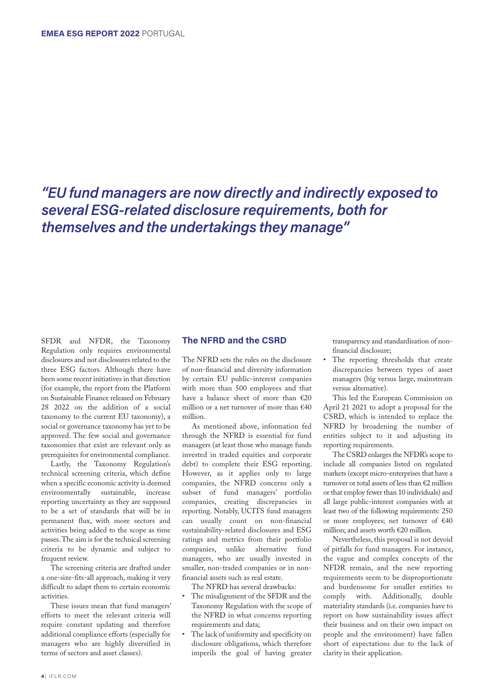*"EU fund managers are now directly and indirectly exposed to several ESG-related disclosure requirements, both for themselves and the undertakings they manage"*

SFDR and NFDR, the Taxonomy Regulation only requires environmental disclosures and not disclosures related to the three ESG factors. Although there have been some recent initiatives in that direction (for example, the report from the Platform on Sustainable Finance released on February 28 2022 on the addition of a social taxonomy to the current EU taxonomy), a social or governance taxonomy has yet to be approved. The few social and governance taxonomies that exist are relevant only as prerequisites for environmental compliance.

Lastly, the Taxonomy Regulation's technical screening criteria, which define when a specific economic activity is deemed environmentally sustainable, increase reporting uncertainty as they are supposed to be a set of standards that will be in permanent flux, with more sectors and activities being added to the scope as time passes. The aim is for the technical screening criteria to be dynamic and subject to frequent review.

The screening criteria are drafted under a one-size-fits-all approach, making it very difficult to adapt them to certain economic activities.

These issues mean that fund managers' efforts to meet the relevant criteria will require constant updating and therefore additional compliance efforts (especially for managers who are highly diversified in terms of sectors and asset classes).

# **The NFRD and the CSRD**

The NFRD sets the rules on the disclosure of non-financial and diversity information by certain EU public-interest companies with more than 500 employees and that have a balance sheet of more than €20 million or a net turnover of more than €40 million.

As mentioned above, information fed through the NFRD is essential for fund managers (at least those who manage funds invested in traded equities and corporate debt) to complete their ESG reporting. However, as it applies only to large companies, the NFRD concerns only a subset of fund managers' portfolio companies, creating discrepancies in reporting. Notably, UCITS fund managers can usually count on non-financial sustainability-related disclosures and ESG ratings and metrics from their portfolio companies, unlike alternative fund managers, who are usually invested in smaller, non-traded companies or in nonfinancial assets such as real estate.

The NFRD has several drawbacks:

- The misalignment of the SFDR and the Taxonomy Regulation with the scope of the NFRD in what concerns reporting requirements and data;
- The lack of uniformity and specificity on disclosure obligations, which therefore imperils the goal of having greater

transparency and standardisation of nonfinancial disclosure;

• The reporting thresholds that create discrepancies between types of asset managers (big versus large, mainstream versus alternative).

This led the European Commission on April 21 2021 to adopt a proposal for the CSRD, which is intended to replace the NFRD by broadening the number of entities subject to it and adjusting its reporting requirements.

The CSRD enlarges the NFDR's scope to include all companies listed on regulated markets (except micro-enterprises that have a turnover or total assets of less than €2 million or that employ fewer than 10 individuals) and all large public-interest companies with at least two of the following requirements: 250 or more employees; net turnover of €40 million; and assets worth €20 million.

Nevertheless, this proposal is not devoid of pitfalls for fund managers. For instance, the vague and complex concepts of the NFDR remain, and the new reporting requirements seem to be disproportionate and burdensome for smaller entities to<br>comply with. Additionally, double comply with. Additionally, materiality standards (i.e. companies have to report on how sustainability issues affect their business and on their own impact on people and the environment) have fallen short of expectations due to the lack of clarity in their application.